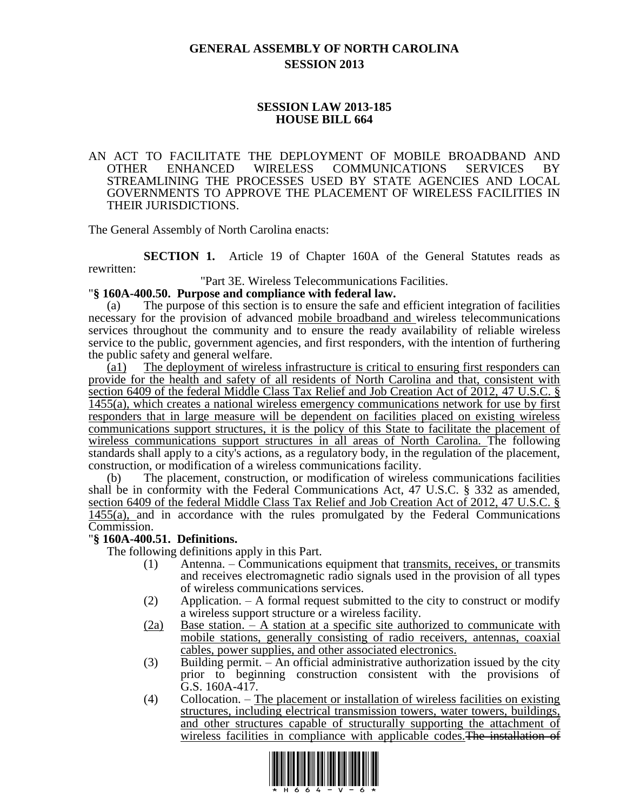# **GENERAL ASSEMBLY OF NORTH CAROLINA SESSION 2013**

### **SESSION LAW 2013-185 HOUSE BILL 664**

#### AN ACT TO FACILITATE THE DEPLOYMENT OF MOBILE BROADBAND AND OTHER ENHANCED WIRELESS COMMUNICATIONS SERVICES BY STREAMLINING THE PROCESSES USED BY STATE AGENCIES AND LOCAL GOVERNMENTS TO APPROVE THE PLACEMENT OF WIRELESS FACILITIES IN THEIR JURISDICTIONS.

The General Assembly of North Carolina enacts:

**SECTION 1.** Article 19 of Chapter 160A of the General Statutes reads as rewritten:

"Part 3E. Wireless Telecommunications Facilities.

# "**§ 160A-400.50. Purpose and compliance with federal law.**

(a) The purpose of this section is to ensure the safe and efficient integration of facilities necessary for the provision of advanced mobile broadband and wireless telecommunications services throughout the community and to ensure the ready availability of reliable wireless service to the public, government agencies, and first responders, with the intention of furthering the public safety and general welfare.

(a1) The deployment of wireless infrastructure is critical to ensuring first responders can provide for the health and safety of all residents of North Carolina and that, consistent with section 6409 of the federal Middle Class Tax Relief and Job Creation Act of 2012, 47 U.S.C. § 1455(a), which creates a national wireless emergency communications network for use by first responders that in large measure will be dependent on facilities placed on existing wireless communications support structures, it is the policy of this State to facilitate the placement of wireless communications support structures in all areas of North Carolina. The following standards shall apply to a city's actions, as a regulatory body, in the regulation of the placement, construction, or modification of a wireless communications facility.

(b) The placement, construction, or modification of wireless communications facilities shall be in conformity with the Federal Communications Act, 47 U.S.C. § 332 as amended, section 6409 of the federal Middle Class Tax Relief and Job Creation Act of 2012, 47 U.S.C. § 1455(a), and in accordance with the rules promulgated by the Federal Communications Commission.

### "**§ 160A-400.51. Definitions.**

The following definitions apply in this Part.

- (1) Antenna. Communications equipment that transmits, receives, or transmits and receives electromagnetic radio signals used in the provision of all types of wireless communications services.
- (2) Application.  $A$  formal request submitted to the city to construct or modify a wireless support structure or a wireless facility.
- (2a) Base station. A station at a specific site authorized to communicate with mobile stations, generally consisting of radio receivers, antennas, coaxial cables, power supplies, and other associated electronics.
- (3) Building permit. An official administrative authorization issued by the city prior to beginning construction consistent with the provisions of G.S. 160A-417.
- (4) Collocation. The placement or installation of wireless facilities on existing structures, including electrical transmission towers, water towers, buildings, and other structures capable of structurally supporting the attachment of wireless facilities in compliance with applicable codes. The installation of

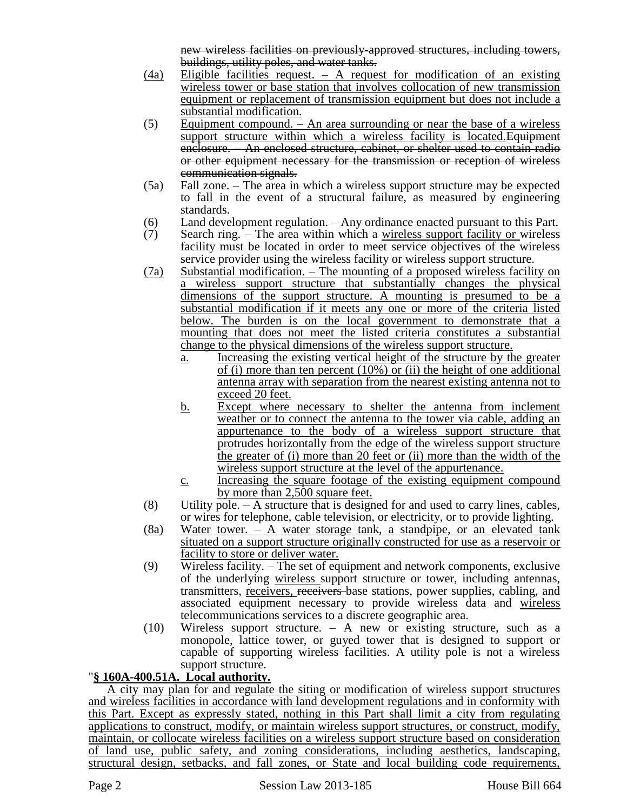new wireless facilities on previously-approved structures, including towers, buildings, utility poles, and water tanks.

- $(4a)$  Eligible facilities request. A request for modification of an existing wireless tower or base station that involves collocation of new transmission equipment or replacement of transmission equipment but does not include a substantial modification.
- $(5)$  Equipment compound. An area surrounding or near the base of a wireless support structure within which a wireless facility is located. Equipment enclosure. – An enclosed structure, cabinet, or shelter used to contain radio or other equipment necessary for the transmission or reception of wireless communication signals.
- (5a) Fall zone. The area in which a wireless support structure may be expected to fall in the event of a structural failure, as measured by engineering standards.
- (6) Land development regulation.  $-$  Any ordinance enacted pursuant to this Part.<br>(7) Search ring.  $-$  The area within which a wireless support facility or wireless
- Search ring. The area within which a wireless support facility or wireless facility must be located in order to meet service objectives of the wireless service provider using the wireless facility or wireless support structure.
- (7a) Substantial modification. The mounting of a proposed wireless facility on a wireless support structure that substantially changes the physical dimensions of the support structure. A mounting is presumed to be a substantial modification if it meets any one or more of the criteria listed below. The burden is on the local government to demonstrate that a mounting that does not meet the listed criteria constitutes a substantial change to the physical dimensions of the wireless support structure.
	- a. Increasing the existing vertical height of the structure by the greater of (i) more than ten percent  $(10\%)$  or (ii) the height of one additional antenna array with separation from the nearest existing antenna not to exceed 20 feet.
	- b. Except where necessary to shelter the antenna from inclement weather or to connect the antenna to the tower via cable, adding an appurtenance to the body of a wireless support structure that protrudes horizontally from the edge of the wireless support structure the greater of (i) more than 20 feet or (ii) more than the width of the wireless support structure at the level of the appurtenance.
	- c. Increasing the square footage of the existing equipment compound by more than 2,500 square feet.
- (8) Utility pole. A structure that is designed for and used to carry lines, cables, or wires for telephone, cable television, or electricity, or to provide lighting.
- (8a) Water tower. A water storage tank, a standpipe, or an elevated tank situated on a support structure originally constructed for use as a reservoir or facility to store or deliver water.
- (9) Wireless facility. The set of equipment and network components, exclusive of the underlying wireless support structure or tower, including antennas, transmitters, receivers, receivers base stations, power supplies, cabling, and associated equipment necessary to provide wireless data and wireless telecommunications services to a discrete geographic area.
- (10) Wireless support structure. A new or existing structure, such as a monopole, lattice tower, or guyed tower that is designed to support or capable of supporting wireless facilities. A utility pole is not a wireless support structure.

# "**§ 160A-400.51A. Local authority.**

A city may plan for and regulate the siting or modification of wireless support structures and wireless facilities in accordance with land development regulations and in conformity with this Part. Except as expressly stated, nothing in this Part shall limit a city from regulating applications to construct, modify, or maintain wireless support structures, or construct, modify, maintain, or collocate wireless facilities on a wireless support structure based on consideration of land use, public safety, and zoning considerations, including aesthetics, landscaping, structural design, setbacks, and fall zones, or State and local building code requirements,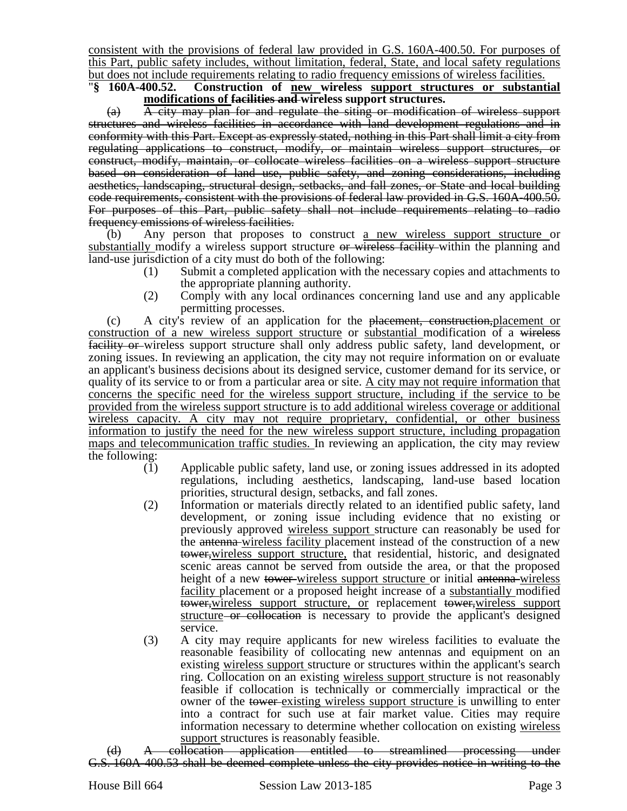consistent with the provisions of federal law provided in G.S. 160A-400.50. For purposes of this Part, public safety includes, without limitation, federal, State, and local safety regulations but does not include requirements relating to radio frequency emissions of wireless facilities.

### "**§ 160A-400.52. Construction of new wireless support structures or substantial modifications of facilities and wireless support structures.**

(a) A city may plan for and regulate the siting or modification of wireless support structures and wireless facilities in accordance with land development regulations and in conformity with this Part. Except as expressly stated, nothing in this Part shall limit a city from regulating applications to construct, modify, or maintain wireless support structures, or construct, modify, maintain, or collocate wireless facilities on a wireless support structure based on consideration of land use, public safety, and zoning considerations, including aesthetics, landscaping, structural design, setbacks, and fall zones, or State and local building code requirements, consistent with the provisions of federal law provided in G.S. 160A-400.50. For purposes of this Part, public safety shall not include requirements relating to radio frequency emissions of wireless facilities.

(b) Any person that proposes to construct a new wireless support structure or substantially modify a wireless support structure or wireless facility within the planning and land-use jurisdiction of a city must do both of the following:

- (1) Submit a completed application with the necessary copies and attachments to the appropriate planning authority.
- (2) Comply with any local ordinances concerning land use and any applicable permitting processes.

(c) A city's review of an application for the placement, construction,placement or construction of a new wireless support structure or substantial modification of a wireless facility or wireless support structure shall only address public safety, land development, or zoning issues. In reviewing an application, the city may not require information on or evaluate an applicant's business decisions about its designed service, customer demand for its service, or quality of its service to or from a particular area or site. A city may not require information that concerns the specific need for the wireless support structure, including if the service to be provided from the wireless support structure is to add additional wireless coverage or additional wireless capacity. A city may not require proprietary, confidential, or other business information to justify the need for the new wireless support structure, including propagation maps and telecommunication traffic studies. In reviewing an application, the city may review the following:

- (1) Applicable public safety, land use, or zoning issues addressed in its adopted regulations, including aesthetics, landscaping, land-use based location priorities, structural design, setbacks, and fall zones.
- (2) Information or materials directly related to an identified public safety, land development, or zoning issue including evidence that no existing or previously approved wireless support structure can reasonably be used for the antenna wireless facility placement instead of the construction of a new tower,wireless support structure, that residential, historic, and designated scenic areas cannot be served from outside the area, or that the proposed height of a new tower wireless support structure or initial antenna wireless facility placement or a proposed height increase of a substantially modified tower,wireless support structure, or replacement tower,wireless support structure or collocation is necessary to provide the applicant's designed service.
- (3) A city may require applicants for new wireless facilities to evaluate the reasonable feasibility of collocating new antennas and equipment on an existing wireless support structure or structures within the applicant's search ring. Collocation on an existing wireless support structure is not reasonably feasible if collocation is technically or commercially impractical or the owner of the tower existing wireless support structure is unwilling to enter into a contract for such use at fair market value. Cities may require information necessary to determine whether collocation on existing wireless support structures is reasonably feasible.

<sup>(</sup>d) A collocation application entitled to streamlined processing under G.S. 160A-400.53 shall be deemed complete unless the city provides notice in writing to the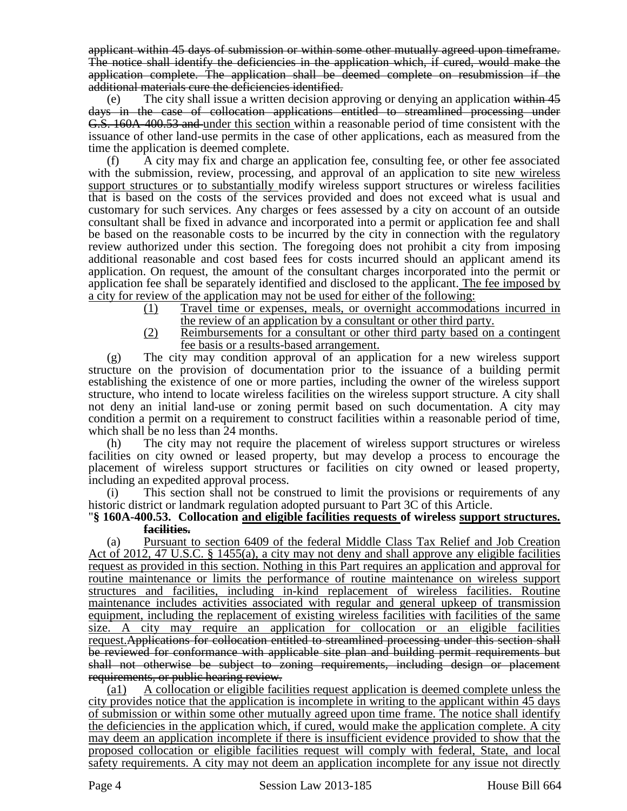applicant within 45 days of submission or within some other mutually agreed upon timeframe. The notice shall identify the deficiencies in the application which, if cured, would make the application complete. The application shall be deemed complete on resubmission if the additional materials cure the deficiencies identified.

The city shall issue a written decision approving or denying an application within 45 days in the case of collocation applications entitled to streamlined processing under G.S. 160A-400.53 and under this section within a reasonable period of time consistent with the issuance of other land-use permits in the case of other applications, each as measured from the time the application is deemed complete.

(f) A city may fix and charge an application fee, consulting fee, or other fee associated with the submission, review, processing, and approval of an application to site new wireless support structures or to substantially modify wireless support structures or wireless facilities that is based on the costs of the services provided and does not exceed what is usual and customary for such services. Any charges or fees assessed by a city on account of an outside consultant shall be fixed in advance and incorporated into a permit or application fee and shall be based on the reasonable costs to be incurred by the city in connection with the regulatory review authorized under this section. The foregoing does not prohibit a city from imposing additional reasonable and cost based fees for costs incurred should an applicant amend its application. On request, the amount of the consultant charges incorporated into the permit or application fee shall be separately identified and disclosed to the applicant. The fee imposed by a city for review of the application may not be used for either of the following:

- (1) Travel time or expenses, meals, or overnight accommodations incurred in the review of an application by a consultant or other third party.
- (2) Reimbursements for a consultant or other third party based on a contingent fee basis or a results-based arrangement.

(g) The city may condition approval of an application for a new wireless support structure on the provision of documentation prior to the issuance of a building permit establishing the existence of one or more parties, including the owner of the wireless support structure, who intend to locate wireless facilities on the wireless support structure. A city shall not deny an initial land-use or zoning permit based on such documentation. A city may condition a permit on a requirement to construct facilities within a reasonable period of time, which shall be no less than 24 months.

(h) The city may not require the placement of wireless support structures or wireless facilities on city owned or leased property, but may develop a process to encourage the placement of wireless support structures or facilities on city owned or leased property, including an expedited approval process.

(i) This section shall not be construed to limit the provisions or requirements of any historic district or landmark regulation adopted pursuant to Part 3C of this Article.

#### "**§ 160A-400.53. Collocation and eligible facilities requests of wireless support structures. facilities.**

(a) Pursuant to section 6409 of the federal Middle Class Tax Relief and Job Creation Act of 2012, 47 U.S.C. § 1455(a), a city may not deny and shall approve any eligible facilities request as provided in this section. Nothing in this Part requires an application and approval for routine maintenance or limits the performance of routine maintenance on wireless support structures and facilities, including in-kind replacement of wireless facilities. Routine maintenance includes activities associated with regular and general upkeep of transmission equipment, including the replacement of existing wireless facilities with facilities of the same size. A city may require an application for collocation or an eligible facilities request.Applications for collocation entitled to streamlined processing under this section shall be reviewed for conformance with applicable site plan and building permit requirements but shall not otherwise be subject to zoning requirements, including design or placement requirements, or public hearing review.

(a1) A collocation or eligible facilities request application is deemed complete unless the city provides notice that the application is incomplete in writing to the applicant within 45 days of submission or within some other mutually agreed upon time frame. The notice shall identify the deficiencies in the application which, if cured, would make the application complete. A city may deem an application incomplete if there is insufficient evidence provided to show that the proposed collocation or eligible facilities request will comply with federal, State, and local safety requirements. A city may not deem an application incomplete for any issue not directly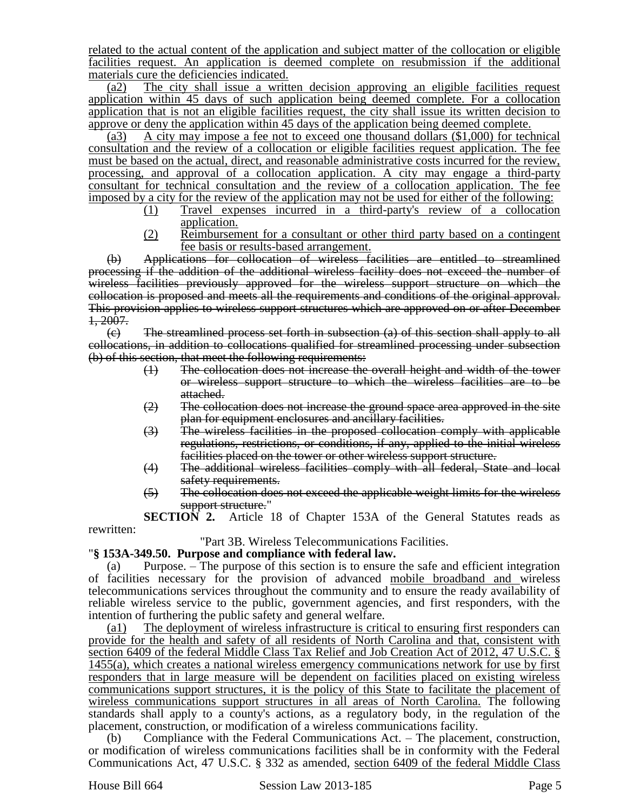related to the actual content of the application and subject matter of the collocation or eligible facilities request. An application is deemed complete on resubmission if the additional materials cure the deficiencies indicated.

(a2) The city shall issue a written decision approving an eligible facilities request application within 45 days of such application being deemed complete. For a collocation application that is not an eligible facilities request, the city shall issue its written decision to approve or deny the application within 45 days of the application being deemed complete.

(a3) A city may impose a fee not to exceed one thousand dollars (\$1,000) for technical consultation and the review of a collocation or eligible facilities request application. The fee must be based on the actual, direct, and reasonable administrative costs incurred for the review, processing, and approval of a collocation application. A city may engage a third-party consultant for technical consultation and the review of a collocation application. The fee imposed by a city for the review of the application may not be used for either of the following:

- (1) Travel expenses incurred in a third-party's review of a collocation application.
- (2) Reimbursement for a consultant or other third party based on a contingent fee basis or results-based arrangement.

(b) Applications for collocation of wireless facilities are entitled to streamlined processing if the addition of the additional wireless facility does not exceed the number of wireless facilities previously approved for the wireless support structure on which the collocation is proposed and meets all the requirements and conditions of the original approval. This provision applies to wireless support structures which are approved on or after December 1, 2007.

 $\left( e \right)$  The streamlined process set forth in subsection (a) of this section shall apply to all collocations, in addition to collocations qualified for streamlined processing under subsection (b) of this section, that meet the following requirements:

- (1) The collocation does not increase the overall height and width of the tower or wireless support structure to which the wireless facilities are to be attached.
- (2) The collocation does not increase the ground space area approved in the site plan for equipment enclosures and ancillary facilities.
- (3) The wireless facilities in the proposed collocation comply with applicable regulations, restrictions, or conditions, if any, applied to the initial wireless facilities placed on the tower or other wireless support structure.
- (4) The additional wireless facilities comply with all federal, State and local safety requirements.
- (5) The collocation does not exceed the applicable weight limits for the wireless support structure."

**SECTION 2.** Article 18 of Chapter 153A of the General Statutes reads as rewritten:

"Part 3B. Wireless Telecommunications Facilities.

# "**§ 153A-349.50. Purpose and compliance with federal law.**

(a) Purpose. – The purpose of this section is to ensure the safe and efficient integration of facilities necessary for the provision of advanced mobile broadband and wireless telecommunications services throughout the community and to ensure the ready availability of reliable wireless service to the public, government agencies, and first responders, with the intention of furthering the public safety and general welfare.

(a1) The deployment of wireless infrastructure is critical to ensuring first responders can provide for the health and safety of all residents of North Carolina and that, consistent with section 6409 of the federal Middle Class Tax Relief and Job Creation Act of 2012, 47 U.S.C. § 1455(a), which creates a national wireless emergency communications network for use by first responders that in large measure will be dependent on facilities placed on existing wireless communications support structures, it is the policy of this State to facilitate the placement of wireless communications support structures in all areas of North Carolina. The following standards shall apply to a county's actions, as a regulatory body, in the regulation of the placement, construction, or modification of a wireless communications facility.

(b) Compliance with the Federal Communications Act. – The placement, construction, or modification of wireless communications facilities shall be in conformity with the Federal Communications Act, 47 U.S.C. § 332 as amended, section 6409 of the federal Middle Class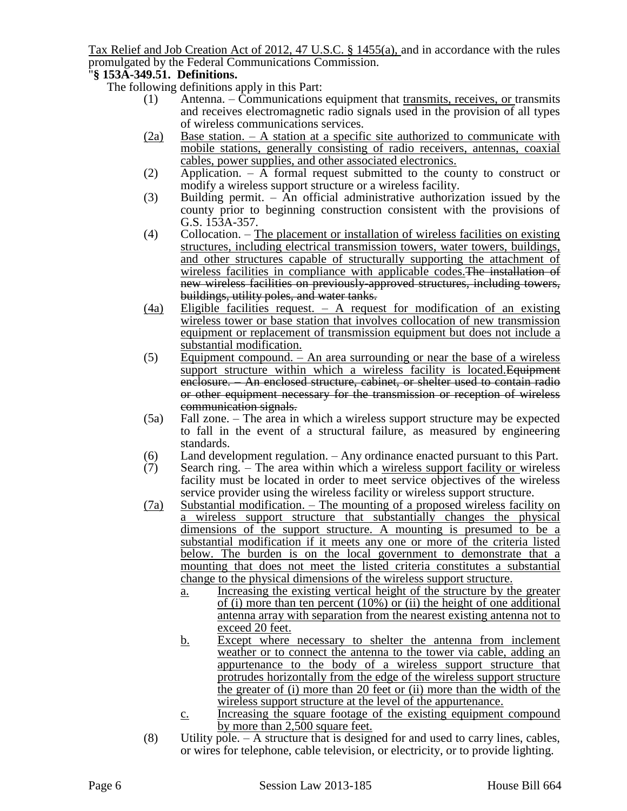Tax Relief and Job Creation Act of 2012, 47 U.S.C. § 1455(a), and in accordance with the rules promulgated by the Federal Communications Commission.

# "**§ 153A-349.51. Definitions.**

The following definitions apply in this Part:

- (1) Antenna. Communications equipment that transmits, receives, or transmits and receives electromagnetic radio signals used in the provision of all types of wireless communications services.
- (2a) Base station. A station at a specific site authorized to communicate with mobile stations, generally consisting of radio receivers, antennas, coaxial cables, power supplies, and other associated electronics.
- (2) Application. A formal request submitted to the county to construct or modify a wireless support structure or a wireless facility.
- (3) Building permit. An official administrative authorization issued by the county prior to beginning construction consistent with the provisions of G.S. 153A-357.
- (4) Collocation. The placement or installation of wireless facilities on existing structures, including electrical transmission towers, water towers, buildings, and other structures capable of structurally supporting the attachment of wireless facilities in compliance with applicable codes. The installation of new wireless facilities on previously-approved structures, including towers, buildings, utility poles, and water tanks.
- $(4a)$  Eligible facilities request.  $-$  A request for modification of an existing wireless tower or base station that involves collocation of new transmission equipment or replacement of transmission equipment but does not include a substantial modification.
- (5) Equipment compound. An area surrounding or near the base of a wireless support structure within which a wireless facility is located. Equipment enclosure. – An enclosed structure, cabinet, or shelter used to contain radio or other equipment necessary for the transmission or reception of wireless communication signals.
- (5a) Fall zone. The area in which a wireless support structure may be expected to fall in the event of a structural failure, as measured by engineering standards.
- (6) Land development regulation. Any ordinance enacted pursuant to this Part.
- (7) Search ring. The area within which a wireless support facility or wireless facility must be located in order to meet service objectives of the wireless service provider using the wireless facility or wireless support structure.
- (7a) Substantial modification. The mounting of a proposed wireless facility on wireless support structure that substantially changes the physical dimensions of the support structure. A mounting is presumed to be a substantial modification if it meets any one or more of the criteria listed below. The burden is on the local government to demonstrate that a mounting that does not meet the listed criteria constitutes a substantial change to the physical dimensions of the wireless support structure.
	- a. Increasing the existing vertical height of the structure by the greater of (i) more than ten percent (10%) or (ii) the height of one additional antenna array with separation from the nearest existing antenna not to exceed 20 feet.
	- b. Except where necessary to shelter the antenna from inclement weather or to connect the antenna to the tower via cable, adding an appurtenance to the body of a wireless support structure that protrudes horizontally from the edge of the wireless support structure the greater of (i) more than 20 feet or (ii) more than the width of the wireless support structure at the level of the appurtenance.
	- c. Increasing the square footage of the existing equipment compound by more than 2,500 square feet.
- (8) Utility pole. A structure that is designed for and used to carry lines, cables, or wires for telephone, cable television, or electricity, or to provide lighting.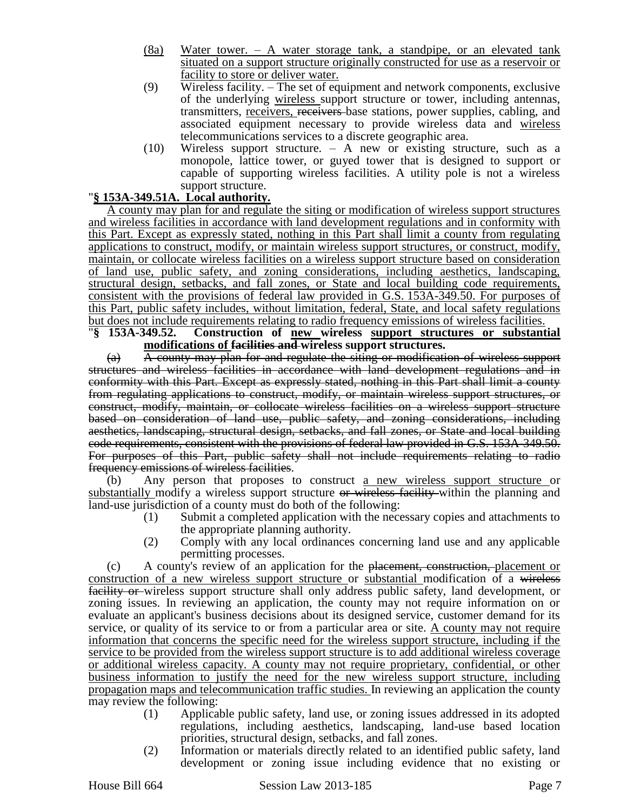- (8a) Water tower. A water storage tank, a standpipe, or an elevated tank situated on a support structure originally constructed for use as a reservoir or facility to store or deliver water.
- (9) Wireless facility. The set of equipment and network components, exclusive of the underlying wireless support structure or tower, including antennas, transmitters, receivers, receivers base stations, power supplies, cabling, and associated equipment necessary to provide wireless data and wireless telecommunications services to a discrete geographic area.
- (10) Wireless support structure. A new or existing structure, such as a monopole, lattice tower, or guyed tower that is designed to support or capable of supporting wireless facilities. A utility pole is not a wireless support structure.

# "**§ 153A-349.51A. Local authority.**

A county may plan for and regulate the siting or modification of wireless support structures and wireless facilities in accordance with land development regulations and in conformity with this Part. Except as expressly stated, nothing in this Part shall limit a county from regulating applications to construct, modify, or maintain wireless support structures, or construct, modify, maintain, or collocate wireless facilities on a wireless support structure based on consideration of land use, public safety, and zoning considerations, including aesthetics, landscaping, structural design, setbacks, and fall zones, or State and local building code requirements, consistent with the provisions of federal law provided in G.S. 153A-349.50. For purposes of this Part, public safety includes, without limitation, federal, State, and local safety regulations but does not include requirements relating to radio frequency emissions of wireless facilities.

#### "**§ 153A-349.52. Construction of new wireless support structures or substantial modifications of facilities and wireless support structures.**

(a) A county may plan for and regulate the siting or modification of wireless support structures and wireless facilities in accordance with land development regulations and in conformity with this Part. Except as expressly stated, nothing in this Part shall limit a county from regulating applications to construct, modify, or maintain wireless support structures, or construct, modify, maintain, or collocate wireless facilities on a wireless support structure based on consideration of land use, public safety, and zoning considerations, including aesthetics, landscaping, structural design, setbacks, and fall zones, or State and local building code requirements, consistent with the provisions of federal law provided in G.S. 153A-349.50. For purposes of this Part, public safety shall not include requirements relating to radio frequency emissions of wireless facilities.

(b) Any person that proposes to construct a new wireless support structure or substantially modify a wireless support structure or wireless facility within the planning and land-use jurisdiction of a county must do both of the following:

- (1) Submit a completed application with the necessary copies and attachments to the appropriate planning authority.
- (2) Comply with any local ordinances concerning land use and any applicable permitting processes.

(c) A county's review of an application for the placement, construction, placement or construction of a new wireless support structure or substantial modification of a wireless **facility or**-wireless support structure shall only address public safety, land development, or zoning issues. In reviewing an application, the county may not require information on or evaluate an applicant's business decisions about its designed service, customer demand for its service, or quality of its service to or from a particular area or site. A county may not require information that concerns the specific need for the wireless support structure, including if the service to be provided from the wireless support structure is to add additional wireless coverage or additional wireless capacity. A county may not require proprietary, confidential, or other business information to justify the need for the new wireless support structure, including propagation maps and telecommunication traffic studies. In reviewing an application the county may review the following:

- (1) Applicable public safety, land use, or zoning issues addressed in its adopted regulations, including aesthetics, landscaping, land-use based location priorities, structural design, setbacks, and fall zones.
- (2) Information or materials directly related to an identified public safety, land development or zoning issue including evidence that no existing or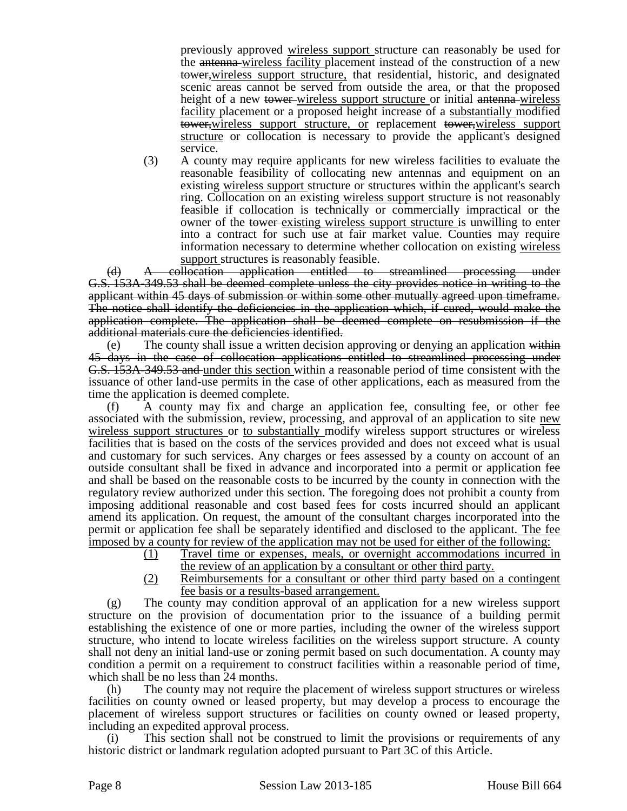previously approved wireless support structure can reasonably be used for the antenna wireless facility placement instead of the construction of a new tower,wireless support structure, that residential, historic, and designated scenic areas cannot be served from outside the area, or that the proposed height of a new tower wireless support structure or initial antenna wireless facility placement or a proposed height increase of a substantially modified tower,wireless support structure, or replacement tower,wireless support structure or collocation is necessary to provide the applicant's designed service.

(3) A county may require applicants for new wireless facilities to evaluate the reasonable feasibility of collocating new antennas and equipment on an existing wireless support structure or structures within the applicant's search ring. Collocation on an existing wireless support structure is not reasonably feasible if collocation is technically or commercially impractical or the owner of the tower existing wireless support structure is unwilling to enter into a contract for such use at fair market value. Counties may require information necessary to determine whether collocation on existing wireless support structures is reasonably feasible.

(d) A collocation application entitled to streamlined processing under G.S. 153A-349.53 shall be deemed complete unless the city provides notice in writing to the applicant within 45 days of submission or within some other mutually agreed upon timeframe. The notice shall identify the deficiencies in the application which, if cured, would make the application complete. The application shall be deemed complete on resubmission if the additional materials cure the deficiencies identified.

 $(e)$  The county shall issue a written decision approving or denying an application within 45 days in the case of collocation applications entitled to streamlined processing under G.S. 153A-349.53 and under this section within a reasonable period of time consistent with the issuance of other land-use permits in the case of other applications, each as measured from the time the application is deemed complete.

(f) A county may fix and charge an application fee, consulting fee, or other fee associated with the submission, review, processing, and approval of an application to site new wireless support structures or to substantially modify wireless support structures or wireless facilities that is based on the costs of the services provided and does not exceed what is usual and customary for such services. Any charges or fees assessed by a county on account of an outside consultant shall be fixed in advance and incorporated into a permit or application fee and shall be based on the reasonable costs to be incurred by the county in connection with the regulatory review authorized under this section. The foregoing does not prohibit a county from imposing additional reasonable and cost based fees for costs incurred should an applicant amend its application. On request, the amount of the consultant charges incorporated into the permit or application fee shall be separately identified and disclosed to the applicant. The fee imposed by a county for review of the application may not be used for either of the following:

- (1) Travel time or expenses, meals, or overnight accommodations incurred in the review of an application by a consultant or other third party.
- (2) Reimbursements for a consultant or other third party based on a contingent fee basis or a results-based arrangement.

(g) The county may condition approval of an application for a new wireless support structure on the provision of documentation prior to the issuance of a building permit establishing the existence of one or more parties, including the owner of the wireless support structure, who intend to locate wireless facilities on the wireless support structure. A county shall not deny an initial land-use or zoning permit based on such documentation. A county may condition a permit on a requirement to construct facilities within a reasonable period of time, which shall be no less than 24 months.

(h) The county may not require the placement of wireless support structures or wireless facilities on county owned or leased property, but may develop a process to encourage the placement of wireless support structures or facilities on county owned or leased property, including an expedited approval process.

(i) This section shall not be construed to limit the provisions or requirements of any historic district or landmark regulation adopted pursuant to Part 3C of this Article.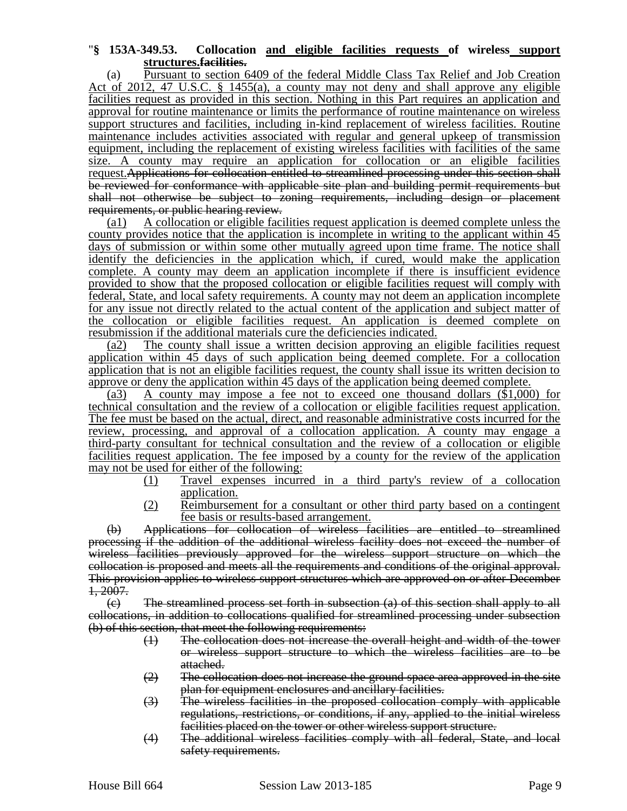### "**§ 153A-349.53. Collocation and eligible facilities requests of wireless support structures.facilities.**

(a) Pursuant to section 6409 of the federal Middle Class Tax Relief and Job Creation Act of 2012, 47 U.S.C. § 1455(a), a county may not deny and shall approve any eligible facilities request as provided in this section. Nothing in this Part requires an application and approval for routine maintenance or limits the performance of routine maintenance on wireless support structures and facilities, including in-kind replacement of wireless facilities. Routine maintenance includes activities associated with regular and general upkeep of transmission equipment, including the replacement of existing wireless facilities with facilities of the same size. A county may require an application for collocation or an eligible facilities request.Applications for collocation entitled to streamlined processing under this section shall be reviewed for conformance with applicable site plan and building permit requirements but shall not otherwise be subject to zoning requirements, including design or placement requirements, or public hearing review.

(a1) A collocation or eligible facilities request application is deemed complete unless the county provides notice that the application is incomplete in writing to the applicant within 45 days of submission or within some other mutually agreed upon time frame. The notice shall identify the deficiencies in the application which, if cured, would make the application complete. A county may deem an application incomplete if there is insufficient evidence provided to show that the proposed collocation or eligible facilities request will comply with federal, State, and local safety requirements. A county may not deem an application incomplete for any issue not directly related to the actual content of the application and subject matter of the collocation or eligible facilities request. An application is deemed complete on resubmission if the additional materials cure the deficiencies indicated.

(a2) The county shall issue a written decision approving an eligible facilities request application within 45 days of such application being deemed complete. For a collocation application that is not an eligible facilities request, the county shall issue its written decision to approve or deny the application within 45 days of the application being deemed complete.

(a3) A county may impose a fee not to exceed one thousand dollars (\$1,000) for technical consultation and the review of a collocation or eligible facilities request application. The fee must be based on the actual, direct, and reasonable administrative costs incurred for the review, processing, and approval of a collocation application. A county may engage a third-party consultant for technical consultation and the review of a collocation or eligible facilities request application. The fee imposed by a county for the review of the application may not be used for either of the following:

- (1) Travel expenses incurred in a third party's review of a collocation application.
- (2) Reimbursement for a consultant or other third party based on a contingent fee basis or results-based arrangement.

(b) Applications for collocation of wireless facilities are entitled to streamlined processing if the addition of the additional wireless facility does not exceed the number of wireless facilities previously approved for the wireless support structure on which the collocation is proposed and meets all the requirements and conditions of the original approval. This provision applies to wireless support structures which are approved on or after December  $1, 2007.$ 

 $\left( \epsilon \right)$  The streamlined process set forth in subsection (a) of this section shall apply to all collocations, in addition to collocations qualified for streamlined processing under subsection (b) of this section, that meet the following requirements:

- (1) The collocation does not increase the overall height and width of the tower or wireless support structure to which the wireless facilities are to be attached.
- (2) The collocation does not increase the ground space area approved in the site plan for equipment enclosures and ancillary facilities.
- (3) The wireless facilities in the proposed collocation comply with applicable regulations, restrictions, or conditions, if any, applied to the initial wireless facilities placed on the tower or other wireless support structure.
- (4) The additional wireless facilities comply with all federal, State, and local safety requirements.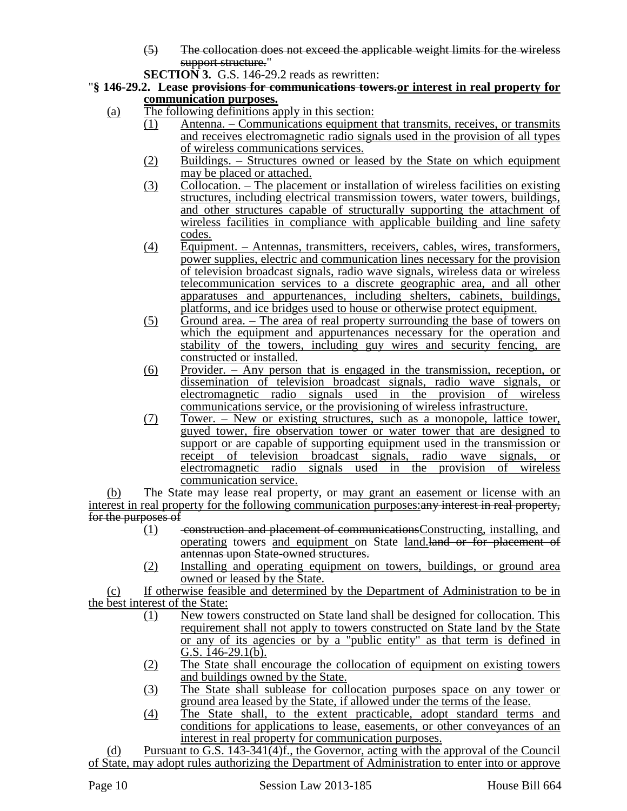- (5) The collocation does not exceed the applicable weight limits for the wireless support structure."
- **SECTION 3.** G.S. 146-29.2 reads as rewritten:
- "**§ 146-29.2. Lease provisions for communications towers.or interest in real property for communication purposes.**
	- (a) The following definitions apply in this section:
		- (1) Antenna. Communications equipment that transmits, receives, or transmits and receives electromagnetic radio signals used in the provision of all types of wireless communications services.
		- (2) Buildings. Structures owned or leased by the State on which equipment may be placed or attached.
		- (3) Collocation. The placement or installation of wireless facilities on existing structures, including electrical transmission towers, water towers, buildings, and other structures capable of structurally supporting the attachment of wireless facilities in compliance with applicable building and line safety codes.
		- (4) Equipment. Antennas, transmitters, receivers, cables, wires, transformers, power supplies, electric and communication lines necessary for the provision of television broadcast signals, radio wave signals, wireless data or wireless telecommunication services to a discrete geographic area, and all other apparatuses and appurtenances, including shelters, cabinets, buildings, platforms, and ice bridges used to house or otherwise protect equipment.
		- (5) Ground area. The area of real property surrounding the base of towers on which the equipment and appurtenances necessary for the operation and stability of the towers, including guy wires and security fencing, are constructed or installed.
		- (6) Provider. Any person that is engaged in the transmission, reception, or dissemination of television broadcast signals, radio wave signals, or electromagnetic radio signals used in the provision of wireless communications service, or the provisioning of wireless infrastructure.
		- (7) Tower. New or existing structures, such as a monopole, lattice tower, guyed tower, fire observation tower or water tower that are designed to support or are capable of supporting equipment used in the transmission or receipt of television broadcast signals, radio wave signals, or receipt of television broadcast signals, radio wave signals, or electromagnetic radio signals used in the provision of wireless communication service.

(b) The State may lease real property, or may grant an easement or license with an interest in real property for the following communication purposes:any interest in real property, for the purposes of

- $(1)$  construction and placement of communications Constructing, installing, and operating towers and equipment on State land.land or for placement of antennas upon State-owned structures.
- (2) Installing and operating equipment on towers, buildings, or ground area owned or leased by the State.

(c) If otherwise feasible and determined by the Department of Administration to be in the best interest of the State:

- (1) New towers constructed on State land shall be designed for collocation. This requirement shall not apply to towers constructed on State land by the State or any of its agencies or by a "public entity" as that term is defined in G.S.  $146-29.1(b)$ .
- (2) The State shall encourage the collocation of equipment on existing towers and buildings owned by the State.
- (3) The State shall sublease for collocation purposes space on any tower or ground area leased by the State, if allowed under the terms of the lease.
- (4) The State shall, to the extent practicable, adopt standard terms and conditions for applications to lease, easements, or other conveyances of an interest in real property for communication purposes.

(d) Pursuant to G.S. 143-341(4)f., the Governor, acting with the approval of the Council of State, may adopt rules authorizing the Department of Administration to enter into or approve